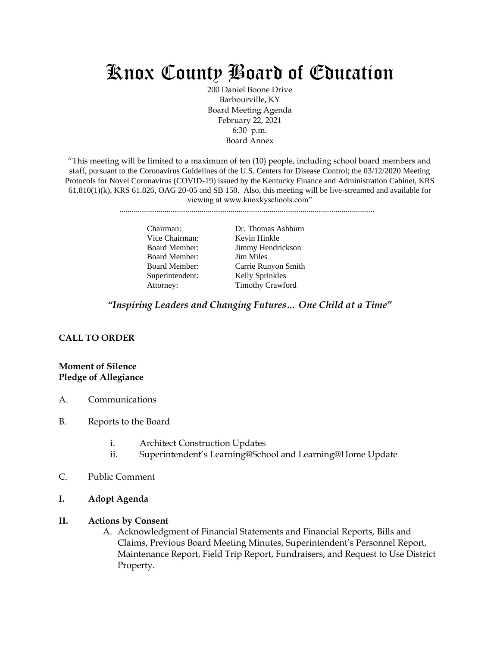# Knox County Board of Education

200 Daniel Boone Drive Barbourville, KY Board Meeting Agenda February 22, 2021 6:30 p.m. Board Annex

"This meeting will be limited to a maximum of ten (10) people, including school board members and staff, pursuant to the Coronavirus Guidelines of the U.S. Centers for Disease Control; the 03/12/2020 Meeting Protocols for Novel Coronavirus (COVID-19) issued by the Kentucky Finance and Administration Cabinet, KRS  $61.810(1)(k)$ , KRS  $61.826$ , OAG  $20-05$  and SB 150. Also, this meeting will be live-streamed and available for viewing at www.knoxkyschools.com"

............................................................................................................................

Vice Chairman: Kevin Hinkle Board Member: Jim Miles Superintendent: Kelly Sprinkles

Chairman: Dr. Thomas Ashburn Board Member: Jimmy Hendrickson Board Member: Carrie Runyon Smith Attorney: Timothy Crawford

*"Inspiring Leaders and Changing Futures… One Child at a Time"*

# **CALL TO ORDER**

#### **Moment of Silence Pledge of Allegiance**

- A. Communications
- B. Reports to the Board
	- i. Architect Construction Updates
	- ii. Superintendent's Learning@School and Learning@Home Update
- C. Public Comment
- **I. Adopt Agenda**

#### **II. Actions by Consent**

A. Acknowledgment of Financial Statements and Financial Reports, Bills and Claims, Previous Board Meeting Minutes, Superintendent's Personnel Report, Maintenance Report, Field Trip Report, Fundraisers, and Request to Use District Property.